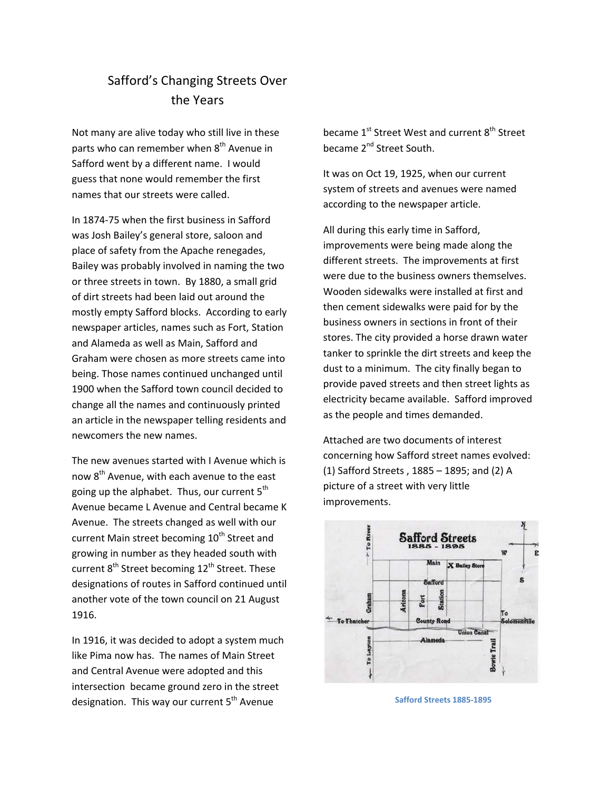## Safford's Changing Streets Over the Years

Not many are alive today who still live in these parts who can remember when  $8<sup>th</sup>$  Avenue in Safford went by a different name. I would guess that none would remember the first names that our streets were called.

In 1874‐75 when the first business in Safford was Josh Bailey's general store, saloon and place of safety from the Apache renegades, Bailey was probably involved in naming the two or three streets in town. By 1880, a small grid of dirt streets had been laid out around the mostly empty Safford blocks. According to early newspaper articles, names such as Fort, Station and Alameda as well as Main, Safford and Graham were chosen as more streets came into being. Those names continued unchanged until 1900 when the Safford town council decided to change all the names and continuously printed an article in the newspaper telling residents and newcomers the new names.

The new avenues started with I Avenue which is now  $8<sup>th</sup>$  Avenue, with each avenue to the east going up the alphabet. Thus, our current  $5<sup>th</sup>$ Avenue became L Avenue and Central became K Avenue. The streets changed as well with our current Main street becoming 10<sup>th</sup> Street and growing in number as they headed south with current  $8^{th}$  Street becoming 12<sup>th</sup> Street. These designations of routes in Safford continued until another vote of the town council on 21 August 1916.

In 1916, it was decided to adopt a system much like Pima now has. The names of Main Street and Central Avenue were adopted and this intersection became ground zero in the street designation. This way our current  $5<sup>th</sup>$  Avenue

became 1<sup>st</sup> Street West and current 8<sup>th</sup> Street became 2<sup>nd</sup> Street South.

It was on Oct 19, 1925, when our current system of streets and avenues were named according to the newspaper article.

All during this early time in Safford, improvements were being made along the different streets. The improvements at first were due to the business owners themselves. Wooden sidewalks were installed at first and then cement sidewalks were paid for by the business owners in sections in front of their stores. The city provided a horse drawn water tanker to sprinkle the dirt streets and keep the dust to a minimum. The city finally began to provide paved streets and then street lights as electricity became available. Safford improved as the people and times demanded.

Attached are two documents of interest concerning how Safford street names evolved: (1) Safford Streets , 1885 – 1895; and (2) A picture of a street with very little improvements.



 **Safford Streets 1885‐1895**